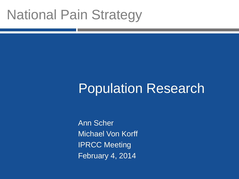# National Pain Strategy

# Population Research

Ann Scher Michael Von Korff IPRCC Meeting February 4, 2014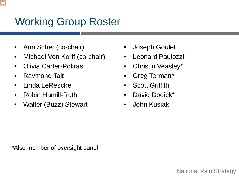## Working Group Roster

- Ann Scher (co-chair)
- Michael Von Korff (co-chair)
- Olivia Carter-Pokras
- Raymond Tait
- Linda LeResche
- Robin Hamill-Ruth
- Walter (Buzz) Stewart
- Joseph Goulet
- Leonard Paulozzi
- Christin Veasley\*
- Greg Terman\*
- **Scott Griffith**
- David Dodick\*
- John Kusiak

\*Also member of oversight panel

National Pain Strategy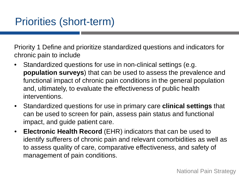Priority 1 Define and prioritize standardized questions and indicators for chronic pain to include

- Standardized questions for use in non-clinical settings (e.g. **population surveys**) that can be used to assess the prevalence and functional impact of chronic pain conditions in the general population and, ultimately, to evaluate the effectiveness of public health interventions.
- Standardized questions for use in primary care **clinical settings** that can be used to screen for pain, assess pain status and functional impact, and guide patient care.
- **Electronic Health Record** (EHR) indicators that can be used to identify sufferers of chronic pain and relevant comorbidities as well as to assess quality of care, comparative effectiveness, and safety of management of pain conditions.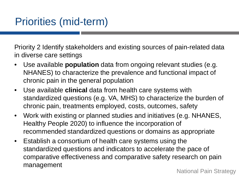Priority 2 Identify stakeholders and existing sources of pain-related data in diverse care settings

- Use available **population** data from ongoing relevant studies (e.g. NHANES) to characterize the prevalence and functional impact of chronic pain in the general population
- Use available **clinical** data from health care systems with standardized questions (e.g. VA, MHS) to characterize the burden of chronic pain, treatments employed, costs, outcomes, safety
- Work with existing or planned studies and initiatives (e.g. NHANES, Healthy People 2020) to influence the incorporation of recommended standardized questions or domains as appropriate
- Establish a consortium of health care systems using the standardized questions and indicators to accelerate the pace of comparative effectiveness and comparative safety research on pain management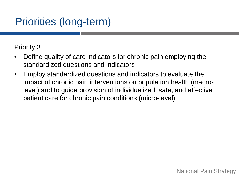## Priorities (long-term)

Priority 3

- Define quality of care indicators for chronic pain employing the standardized questions and indicators
- Employ standardized questions and indicators to evaluate the impact of chronic pain interventions on population health (macrolevel) and to guide provision of individualized, safe, and effective patient care for chronic pain conditions (micro-level)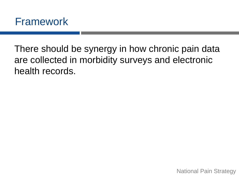There should be synergy in how chronic pain data are collected in morbidity surveys and electronic health records.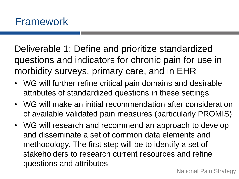Deliverable 1: Define and prioritize standardized questions and indicators for chronic pain for use in morbidity surveys, primary care, and in EHR

- WG will further refine critical pain domains and desirable attributes of standardized questions in these settings
- WG will make an initial recommendation after consideration of available validated pain measures (particularly PROMIS)
- WG will research and recommend an approach to develop and disseminate a set of common data elements and methodology. The first step will be to identify a set of stakeholders to research current resources and refine questions and attributes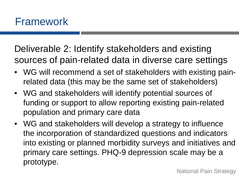Deliverable 2: Identify stakeholders and existing sources of pain-related data in diverse care settings

- WG will recommend a set of stakeholders with existing painrelated data (this may be the same set of stakeholders)
- WG and stakeholders will identify potential sources of funding or support to allow reporting existing pain-related population and primary care data
- WG and stakeholders will develop a strategy to influence the incorporation of standardized questions and indicators into existing or planned morbidity surveys and initiatives and primary care settings. PHQ-9 depression scale may be a prototype.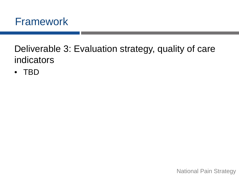

Deliverable 3: Evaluation strategy, quality of care indicators

• TBD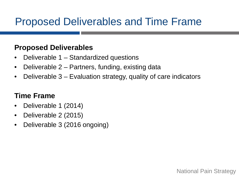## Proposed Deliverables and Time Frame

#### **Proposed Deliverables**

- Deliverable 1 Standardized questions
- Deliverable 2 Partners, funding, existing data
- Deliverable 3 Evaluation strategy, quality of care indicators

### **Time Frame**

- Deliverable 1 (2014)
- Deliverable 2 (2015)
- Deliverable 3 (2016 ongoing)

National Pain Strategy